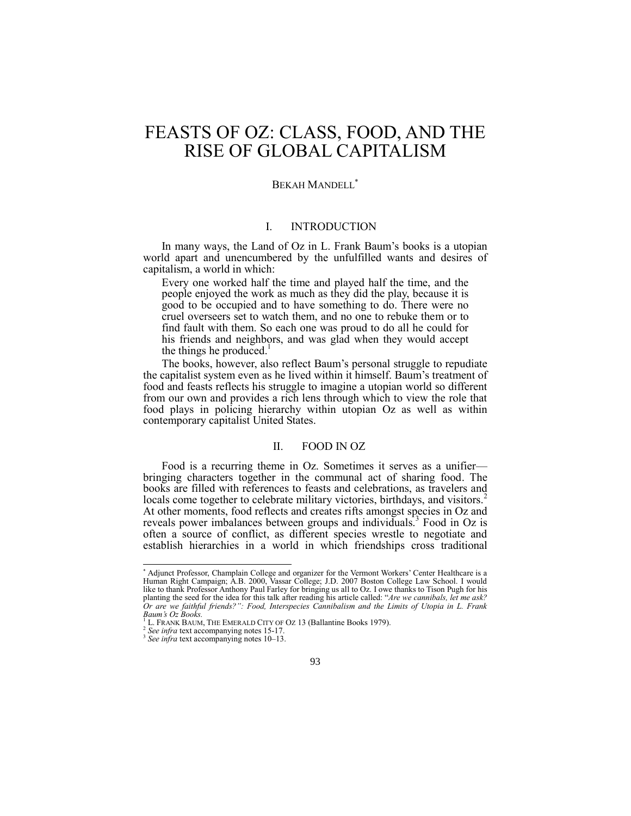# FEASTS OF OZ: CLASS, FOOD, AND THE RISE OF GLOBAL CAPITALISM

#### BEKAH MANDELL

## I. INTRODUCTION

In many ways, the Land of Oz in L. Frank Baum's books is a utopian world apart and unencumbered by the unfulfilled wants and desires of capitalism, a world in which:

Every one worked half the time and played half the time, and the people enjoyed the work as much as they did the play, because it is good to be occupied and to have something to do. There were no cruel overseers set to watch them, and no one to rebuke them or to find fault with them. So each one was proud to do all he could for his friends and neighbors, and was glad when they would accept the things he produced. $<sup>1</sup>$ </sup>

The books, however, also reflect Baum's personal struggle to repudiate the capitalist system even as he lived within it himself. Baum's treatment of food and feasts reflects his struggle to imagine a utopian world so different from our own and provides a rich lens through which to view the role that food plays in policing hierarchy within utopian Oz as well as within contemporary capitalist United States.

#### II. FOOD IN OZ

Food is a recurring theme in Oz. Sometimes it serves as a unifier bringing characters together in the communal act of sharing food. The books are filled with references to feasts and celebrations, as travelers and locals come together to celebrate military victories, birthdays, and visitors.<sup>2</sup> At other moments, food reflects and creates rifts amongst species in Oz and reveals power imbalances between groups and individuals.<sup>3</sup> Food in Oz is often a source of conflict, as different species wrestle to negotiate and establish hierarchies in a world in which friendships cross traditional

<sup>\*</sup> Adjunct Professor, Champlain College and organizer for the Vermont Workers' Center Healthcare is a Human Right Campaign; A.B. 2000, Vassar College; J.D. 2007 Boston College Law School. I would like to thank Professor Anthony Paul Farley for bringing us all to Oz. I owe thanks to Tison Pugh for his planting the seed for the idea for this talk after reading his article called: "*Are we cannibals, let me ask? Or are we faithful friends?": Food, Interspecies Cannibalism and the Limits of Utopia in L. Frank Baum's Oz Books.*

<sup>&</sup>lt;sup>1</sup> L. FRANK BAUM, THE EMERALD CITY OF OZ 13 (Ballantine Books 1979).

*See infra* text accompanying note[s 15](#page-2-0)[-17.](#page-2-1)

<sup>3</sup> *See infra* text accompanying note[s 10](#page-1-0)–[13.](#page-2-2)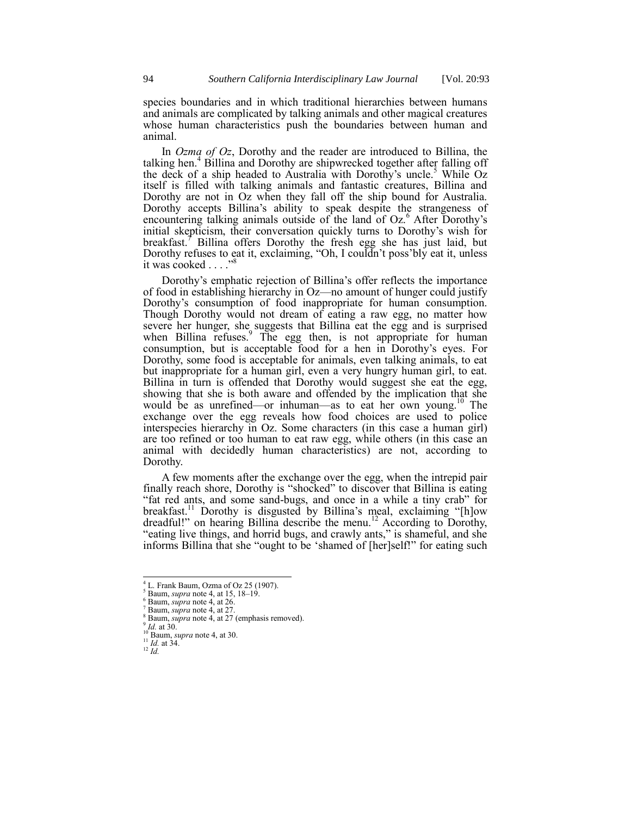species boundaries and in which traditional hierarchies between humans and animals are complicated by talking animals and other magical creatures whose human characteristics push the boundaries between human and animal.

<span id="page-1-1"></span>In *Ozma of Oz*, Dorothy and the reader are introduced to Billina, the talking hen.<sup>4</sup> Billina and Dorothy are shipwrecked together after falling off the deck of a ship headed to Australia with Dorothy's uncle.<sup>5</sup> While Oz itself is filled with talking animals and fantastic creatures, Billina and Dorothy are not in Oz when they fall off the ship bound for Australia. Dorothy accepts Billina's ability to speak despite the strangeness of encountering talking animals outside of the land of Oz.<sup>6</sup> After Dorothy's initial skepticism, their conversation quickly turns to Dorothy's wish for breakfast.<sup>7</sup> Billina offers Dorothy the fresh egg she has just laid, but Dorothy refuses to eat it, exclaiming, "Oh, I couldn't poss'bly eat it, unless it was cooked  $\ldots$ ."<sup>8</sup>

Dorothy's emphatic rejection of Billina's offer reflects the importance of food in establishing hierarchy in Oz—no amount of hunger could justify Dorothy's consumption of food inappropriate for human consumption. Though Dorothy would not dream of eating a raw egg, no matter how severe her hunger, she suggests that Billina eat the egg and is surprised when Billina refuses.<sup>9</sup> The egg then, is not appropriate for human consumption, but is acceptable food for a hen in Dorothy's eyes. For Dorothy, some food is acceptable for animals, even talking animals, to eat but inappropriate for a human girl, even a very hungry human girl, to eat. Billina in turn is offended that Dorothy would suggest she eat the egg, showing that she is both aware and offended by the implication that she would be as unrefined—or inhuman—as to eat her own young.<sup>10</sup> The exchange over the egg reveals how food choices are used to police interspecies hierarchy in Oz. Some characters (in this case a human girl) are too refined or too human to eat raw egg, while others (in this case an animal with decidedly human characteristics) are not, according to Dorothy.

<span id="page-1-0"></span>A few moments after the exchange over the egg, when the intrepid pair finally reach shore, Dorothy is "shocked" to discover that Billina is eating "fat red ants, and some sand-bugs, and once in a while a tiny crab" for breakfast.<sup>11</sup> Dorothy is disgusted by Billina's meal, exclaiming "[h]ow dreadful!" on hearing Billina describe the menu.<sup>12</sup> According to Dorothy, "eating live things, and horrid bugs, and crawly ants," is shameful, and she informs Billina that she "ought to be 'shamed of [her]self!" for eating such

<sup>12</sup> *Id.*

 $4$  L. Frank Baum, Ozma of Oz 25 (1907).

<sup>5</sup> Baum, *supra* not[e 4,](#page-1-1) at 15, 18–19.

<sup>6</sup> Baum, *supra* not[e 4,](#page-1-1) at 26.

Baum, *supra* not[e 4,](#page-1-1) at 27. Baum, *supra* not[e 4,](#page-1-1) at 27 (emphasis removed).

<sup>9</sup> *Id.* at 30.

<sup>10</sup> Baum, *supra* not[e 4,](#page-1-1) at 30.

 $\frac{11}{11}$  *Id.* at 34.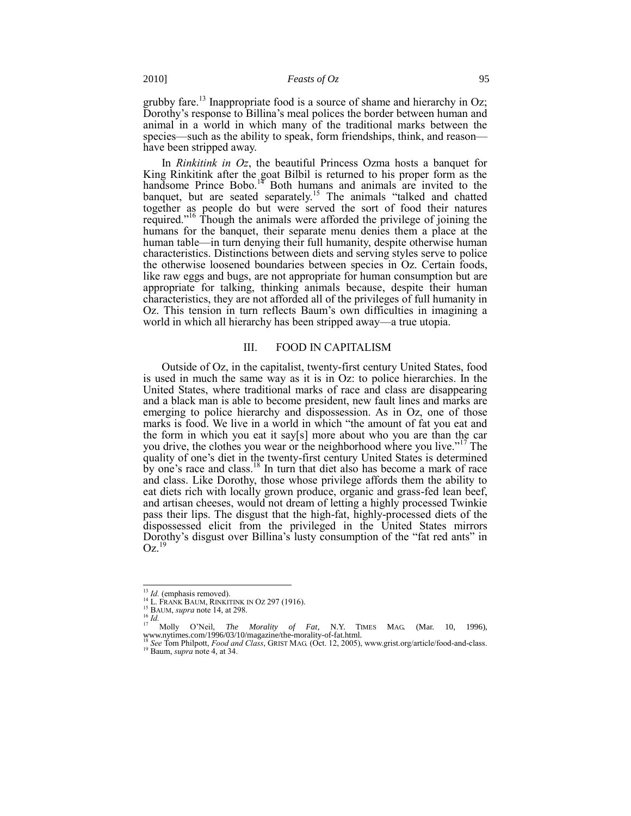<span id="page-2-2"></span>grubby fare.<sup>13</sup> Inappropriate food is a source of shame and hierarchy in Oz; Dorothy's response to Billina's meal polices the border between human and animal in a world in which many of the traditional marks between the species—such as the ability to speak, form friendships, think, and reason have been stripped away.

<span id="page-2-3"></span>In *Rinkitink in Oz*, the beautiful Princess Ozma hosts a banquet for King Rinkitink after the goat Bilbil is returned to his proper form as the handsome Prince Bobo.<sup>14</sup> Both humans and animals are invited to the banquet, but are seated separately.<sup>15</sup> The animals "talked and chatted" together as people do but were served the sort of food their natures required.<sup>16</sup> Though the animals were afforded the privilege of joining the humans for the banquet, their separate menu denies them a place at the human table—in turn denying their full humanity, despite otherwise human characteristics. Distinctions between diets and serving styles serve to police the otherwise loosened boundaries between species in Oz. Certain foods, like raw eggs and bugs, are not appropriate for human consumption but are appropriate for talking, thinking animals because, despite their human characteristics, they are not afforded all of the privileges of full humanity in Oz. This tension in turn reflects Baum's own difficulties in imagining a world in which all hierarchy has been stripped away—a true utopia.

#### <span id="page-2-1"></span><span id="page-2-0"></span>III. FOOD IN CAPITALISM

Outside of Oz, in the capitalist, twenty-first century United States, food is used in much the same way as it is in Oz: to police hierarchies. In the United States, where traditional marks of race and class are disappearing and a black man is able to become president, new fault lines and marks are emerging to police hierarchy and dispossession. As in Oz, one of those marks is food. We live in a world in which "the amount of fat you eat and the form in which you eat it say[s] more about who you are than the car you drive, the clothes you wear or the neighborhood where you live."<sup>17</sup> The quality of one's diet in the twenty-first century United States is determined by one's race and class.<sup>18</sup> In turn that diet also has become a mark of race and class. Like Dorothy, those whose privilege affords them the ability to eat diets rich with locally grown produce, organic and grass-fed lean beef, and artisan cheeses, would not dream of letting a highly processed Twinkie pass their lips. The disgust that the high-fat, highly-processed diets of the dispossessed elicit from the privileged in the United States mirrors Dorothy's disgust over Billina's lusty consumption of the "fat red ants" in  $Oz^{19}$ 

<sup>&</sup>lt;sup>13</sup> *Id.* (emphasis removed).

<sup>&</sup>lt;sup>14</sup> L. FRANK BAUM, RINKITINK IN OZ 297 (1916).

<sup>15</sup> BAUM, *supra* not[e 14,](#page-2-3) at 298.

 $\frac{16}{17}$  *Id.* 

<sup>&</sup>lt;sup>17</sup> Molly O'Neil, *The Morality of Fat*, N.Y. TIMES MAG. (Mar. 10, 1996), www.nytimes.com/1996/03/10/magazine/the-morality-of-fat.html.

<sup>18</sup> *See* Tom Philpott, *Food and Class*, GRIST MAG. (Oct. 12, 2005), www.grist.org/article/food-and-class. <sup>19</sup> Baum, *supra* not[e 4,](#page-1-1) at 34.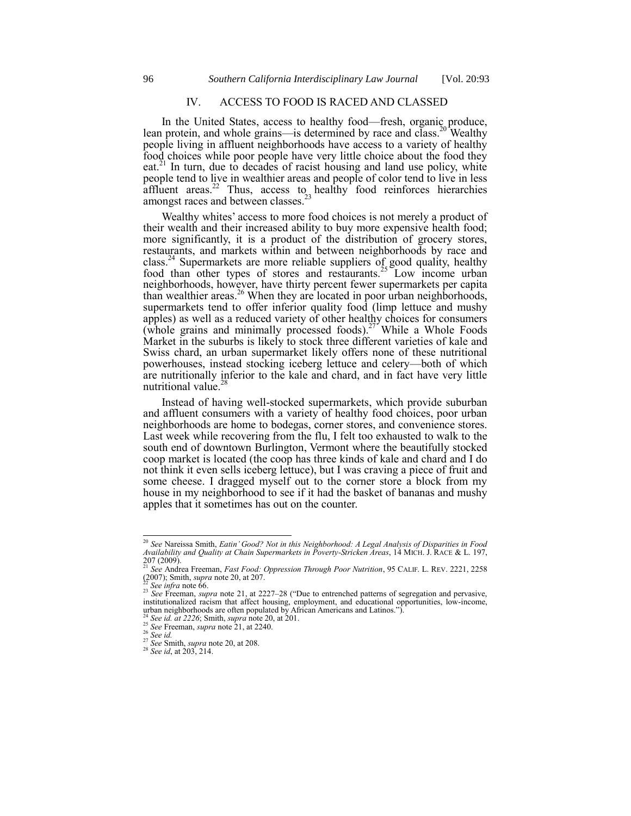## <span id="page-3-0"></span>IV. ACCESS TO FOOD IS RACED AND CLASSED

<span id="page-3-1"></span>In the United States, access to healthy food—fresh, organic produce, lean protein, and whole grains—is determined by race and class.<sup>20</sup> Wealthy people living in affluent neighborhoods have access to a variety of healthy food choices while poor people have very little choice about the food they eat.<sup>21</sup> In turn, due to decades of racist housing and land use policy, white people tend to live in wealthier areas and people of color tend to live in less affluent areas.<sup>22</sup> Thus, access to healthy food reinforces hierarchies amongst races and between classes.<sup>23</sup>

Wealthy whites' access to more food choices is not merely a product of their wealth and their increased ability to buy more expensive health food; more significantly, it is a product of the distribution of grocery stores, restaurants, and markets within and between neighborhoods by race and class.<sup>24</sup> Supermarkets are more reliable suppliers of good quality, healthy food than other types of stores and restaurants.<sup>25</sup> Low income urban neighborhoods, however, have thirty percent fewer supermarkets per capita than wealthier areas.<sup>26</sup> When they are located in poor urban neighborhoods, supermarkets tend to offer inferior quality food (limp lettuce and mushy apples) as well as a reduced variety of other healthy choices for consumers  $(\overrightarrow{whole} \text{ grains}$  and minimally processed foods).<sup>27</sup> While a Whole Foods Market in the suburbs is likely to stock three different varieties of kale and Swiss chard, an urban supermarket likely offers none of these nutritional powerhouses, instead stocking iceberg lettuce and celery—both of which are nutritionally inferior to the kale and chard, and in fact have very little nutritional value.<sup>28</sup>

Instead of having well-stocked supermarkets, which provide suburban and affluent consumers with a variety of healthy food choices, poor urban neighborhoods are home to bodegas, corner stores, and convenience stores. Last week while recovering from the flu, I felt too exhausted to walk to the south end of downtown Burlington, Vermont where the beautifully stocked coop market is located (the coop has three kinds of kale and chard and I do not think it even sells iceberg lettuce), but I was craving a piece of fruit and some cheese. I dragged myself out to the corner store a block from my house in my neighborhood to see if it had the basket of bananas and mushy apples that it sometimes has out on the counter.

<sup>20</sup> *See* Nareissa Smith, *Eatin' Good? Not in this Neighborhood: A Legal Analysis of Disparities in Food Availability and Quality at Chain Supermarkets in Poverty-Stricken Areas*, 14 MICH. J. RACE & L. 197,

<sup>207 (2009).</sup> <sup>21</sup> *See* Andrea Freeman, *Fast Food: Oppression Through Poor Nutrition*, 95 CALIF. L. REV. 2221, 2258 (2007); Smith, *supra* not[e 20,](#page-3-0) at 207.

<sup>22</sup> *See infra* not[e 66.](#page-8-0)

<sup>&</sup>lt;sup>23</sup> *See* Freeman, *supra* note [21,](#page-3-1) at 2227–28 ("Due to entrenched patterns of segregation and pervasive, institutionalized racism that affect housing, employment, and educational opportunities, low-income, urban neighborhoods are often populated by African Americans and Latinos.").

<sup>24</sup> *See id. at 2226*; Smith, *supra* not[e 20,](#page-3-0) at 201.

<sup>&</sup>lt;sup>25</sup> *See* Freeman, *supra* not[e 21,](#page-3-1) at 2240. <sup>26</sup> *See id.*

<sup>27</sup> *See* Smith, *supra* not[e 20,](#page-3-0) at 208.

<sup>&</sup>lt;sup>28</sup> *See id*, at 203, 214.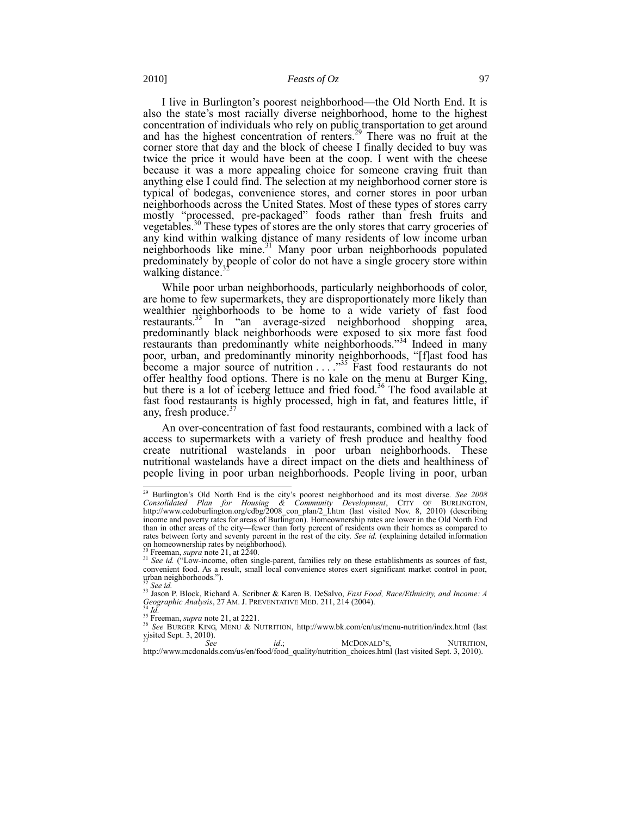I live in Burlington's poorest neighborhood—the Old North End. It is also the state's most racially diverse neighborhood, home to the highest concentration of individuals who rely on public transportation to get around and has the highest concentration of renters.<sup>29</sup> There was no fruit at the corner store that day and the block of cheese I finally decided to buy was twice the price it would have been at the coop. I went with the cheese because it was a more appealing choice for someone craving fruit than anything else I could find. The selection at my neighborhood corner store is typical of bodegas, convenience stores, and corner stores in poor urban neighborhoods across the United States. Most of these types of stores carry mostly "processed, pre-packaged" foods rather than fresh fruits and vegetables.<sup>30</sup> These types of stores are the only stores that carry groceries of any kind within walking distance of many residents of low income urban neighborhoods like mine.<sup>31</sup> Many poor urban neighborhoods populated predominately by people of color do not have a single grocery store within walking distance.

While poor urban neighborhoods, particularly neighborhoods of color, are home to few supermarkets, they are disproportionately more likely than wealthier neighborhoods to be home to a wide variety of fast food restaurants. $33$  In "an average-sized neighborhood shopping area, predominantly black neighborhoods were exposed to six more fast food restaurants than predominantly white neighborhoods."<sup>34</sup> Indeed in many poor, urban, and predominantly minority neighborhoods, "[f]ast food has become a major source of nutrition  $\ldots$   $\overset{35}{\ldots}$  Fast food restaurants do not offer healthy food options. There is no kale on the menu at Burger King, but there is a lot of iceberg lettuce and fried food.<sup>36</sup> The food available at fast food restaurants is highly processed, high in fat, and features little, if any, fresh produce. $3$ 

An over-concentration of fast food restaurants, combined with a lack of access to supermarkets with a variety of fresh produce and healthy food create nutritional wastelands in poor urban neighborhoods. These nutritional wastelands have a direct impact on the diets and healthiness of people living in poor urban neighborhoods. People living in poor, urban

<sup>29</sup> Burlington's Old North End is the city's poorest neighborhood and its most diverse. *See 2008 Consolidated Plan for Housing & Community Development*, CITY OF BURLINGTON, [http://www.cedoburlington.org/cdbg/2008\\_con\\_plan/2\\_I.htm](http://www.cedoburlington.org/cdbg/2008_con_plan/2_I.htm) (last visited Nov. 8, 2010) (describing income and poverty rates for areas of Burlington). Homeownership rates are lower in the Old North End than in other areas of the city—fewer than forty percent of residents own their homes as compared to rates between forty and seventy percent in the rest of the city. *See id.* (explaining detailed information on homeownership rates by neighborhood).

Freeman, *supra* not[e 21,](#page-3-1) at 2240.

<sup>&</sup>lt;sup>31</sup> *See id.* ("Low-income, often single-parent, families rely on these establishments as sources of fast, convenient food. As a result, small local convenience stores exert significant market control in poor, urban neighborhoods.‖). <sup>32</sup> *See id.*

<sup>33</sup> Jason P. Block, Richard A. Scribner & Karen B. DeSalvo, *Fast Food, Race/Ethnicity, and Income: A Geographic Analysis*, 27 AM. J. PREVENTATIVE MED. 211, 214 (2004). <sup>34</sup> *Id.*

<sup>&</sup>lt;sup>35</sup> Freeman, *supra* not[e 21,](#page-3-1) at 2221.

<sup>36</sup> *See* BURGER KING, MENU & NUTRITION, http://www.bk.com/en/us/menu-nutrition/index.html (last

visited Sept. 3, 2010).<br> $See$ *id.*; MCDONALD'S, NUTRITION,

[http://www.mcdonalds.com/us/en/food/food\\_quality/nutrition\\_choices.html](http://www.mcdonalds.com/us/en/food/food_quality/nutrition_choices.html) (last visited Sept. 3, 2010).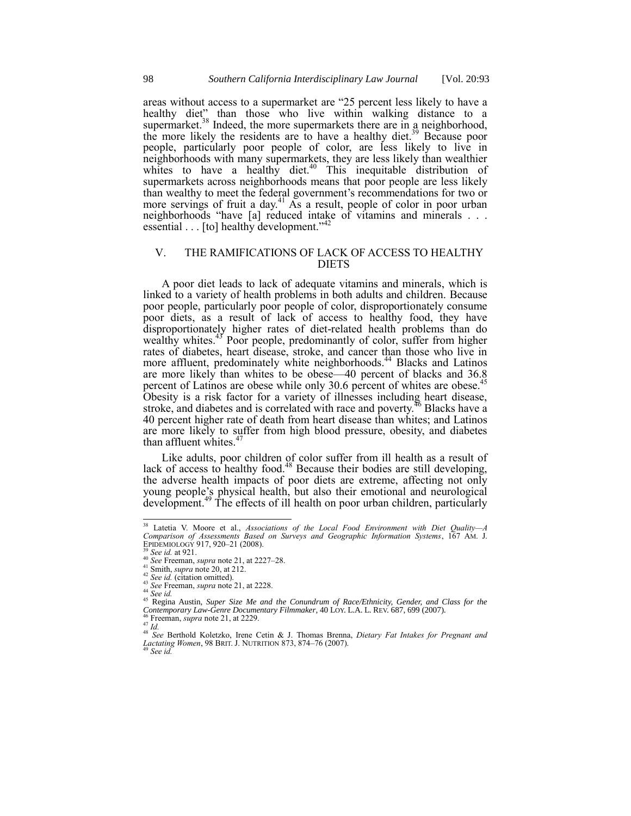areas without access to a supermarket are "25 percent less likely to have a healthy diet" than those who live within walking distance to a supermarket.<sup>38</sup> Indeed, the more supermarkets there are in a neighborhood, the more likely the residents are to have a healthy diet.<sup>39</sup> Because poor people, particularly poor people of color, are less likely to live in neighborhoods with many supermarkets, they are less likely than wealthier whites to have a healthy diet. $40$  This inequitable distribution of supermarkets across neighborhoods means that poor people are less likely than wealthy to meet the federal government's recommendations for two or more servings of fruit a day. $41$  As a result, people of color in poor urban neighborhoods "have [a] reduced intake of vitamins and minerals . . . essential  $\ldots$  [to] healthy development."<sup>42</sup>

### V. THE RAMIFICATIONS OF LACK OF ACCESS TO HEALTHY DIETS

A poor diet leads to lack of adequate vitamins and minerals, which is linked to a variety of health problems in both adults and children. Because poor people, particularly poor people of color, disproportionately consume poor diets, as a result of lack of access to healthy food, they have disproportionately higher rates of diet-related health problems than do wealthy whites.<sup>43</sup> Poor people, predominantly of color, suffer from higher rates of diabetes, heart disease, stroke, and cancer than those who live in more affluent, predominately white neighborhoods.<sup>44</sup> Blacks and Latinos are more likely than whites to be obese—40 percent of blacks and 36.8 percent of Latinos are obese while only 30.6 percent of whites are obese.<sup>45</sup> Obesity is a risk factor for a variety of illnesses including heart disease, stroke, and diabetes and is correlated with race and poverty. $46$  Blacks have a 40 percent higher rate of death from heart disease than whites; and Latinos are more likely to suffer from high blood pressure, obesity, and diabetes than affluent whites.<sup>4</sup>

Like adults, poor children of color suffer from ill health as a result of lack of access to healthy food.<sup>48</sup> Because their bodies are still developing, the adverse health impacts of poor diets are extreme, affecting not only young people's physical health, but also their emotional and neurological development.<sup>49</sup> The effects of ill health on poor urban children, particularly

<sup>38</sup> Latetia V. Moore et al., *Associations of the Local Food Environment with Diet Quality—A Comparison of Assessments Based on Surveys and Geographic Information Systems*, 167 AM. J. EPIDEMIOLOGY 917, 920–21 (2008).

<sup>39</sup> *See id.* at 921.

<sup>40</sup> *See* Freeman, *supra* not[e 21,](#page-3-1) at 2227–28.

<sup>41</sup> Smith, *supra* not[e 20,](#page-3-0) at 212.

<sup>42</sup> *See id.* (citation omitted). <sup>43</sup> *See* Freeman, *supra* not[e 21,](#page-3-1) at 2228.

<sup>44</sup> *See id.*

<sup>45</sup> Regina Austin, *Super Size Me and the Conundrum of Race/Ethnicity, Gender, and Class for the Contemporary Law-Genre Documentary Filmmaker*, 40 LOY. L.A. L. REV. 687, 699 (2007).

<sup>46</sup> Freeman, *supra* not[e 21,](#page-3-1) at 2229.

<sup>47</sup> *Id.*

<sup>48</sup> *See* Berthold Koletzko, Irene Cetin & J. Thomas Brenna, *Dietary Fat Intakes for Pregnant and Lactating Women*, 98 BRIT. J. NUTRITION 873, 874–76 (2007). <sup>49</sup> *See id.*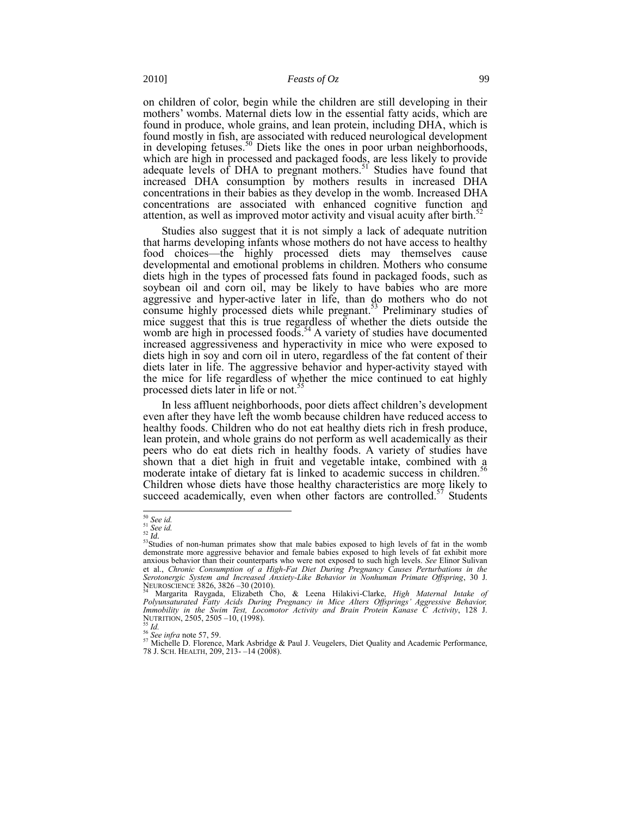on children of color, begin while the children are still developing in their mothers' wombs. Maternal diets low in the essential fatty acids, which are found in produce, whole grains, and lean protein, including DHA, which is found mostly in fish, are associated with reduced neurological development in developing fetuses.<sup>50</sup> Diets like the ones in poor urban neighborhoods, which are high in processed and packaged foods, are less likely to provide adequate levels of DHA to pregnant mothers.<sup>51</sup> Studies have found that increased DHA consumption by mothers results in increased DHA concentrations in their babies as they develop in the womb. Increased DHA concentrations are associated with enhanced cognitive function and attention, as well as improved motor activity and visual acuity after birth.<sup>52</sup>

Studies also suggest that it is not simply a lack of adequate nutrition that harms developing infants whose mothers do not have access to healthy food choices—the highly processed diets may themselves cause developmental and emotional problems in children. Mothers who consume diets high in the types of processed fats found in packaged foods, such as soybean oil and corn oil, may be likely to have babies who are more aggressive and hyper-active later in life, than do mothers who do not consume highly processed diets while pregnant. <sup>53</sup> Preliminary studies of mice suggest that this is true regardless of whether the diets outside the womb are high in processed foods.<sup>54</sup> A variety of studies have documented increased aggressiveness and hyperactivity in mice who were exposed to diets high in soy and corn oil in utero, regardless of the fat content of their diets later in life. The aggressive behavior and hyper-activity stayed with the mice for life regardless of whether the mice continued to eat highly processed diets later in life or not.<sup>55</sup>

In less affluent neighborhoods, poor diets affect children's development even after they have left the womb because children have reduced access to healthy foods. Children who do not eat healthy diets rich in fresh produce, lean protein, and whole grains do not perform as well academically as their peers who do eat diets rich in healthy foods. A variety of studies have shown that a diet high in fruit and vegetable intake, combined with a moderate intake of dietary fat is linked to academic success in children.<sup>56</sup> Children whose diets have those healthy characteristics are more likely to succeed academically, even when other factors are controlled.<sup>57</sup> Students

<span id="page-6-0"></span>l <sup>50</sup> *See id.*

<sup>51</sup> *See id.* <sup>52</sup> *Id.*

<sup>&</sup>lt;sup>53</sup>Studies of non-human primates show that male babies exposed to high levels of fat in the womb demonstrate more aggressive behavior and female babies exposed to high levels of fat exhibit more anxious behavior than their counterparts who were not exposed to such high levels. *See* Elinor Sulivan et al., *Chronic Consumption of a High-Fat Diet During Pregnancy Causes Perturbations in the Serotonergic System and Increased Anxiety-Like Behavior in Nonhuman Primate Offspring*, 30 J. NEUROSCIENCE 3826, 3826 –30 (2010).

<sup>54</sup> Margarita Raygada, Elizabeth Cho, & Leena Hilakivi-Clarke, *High Maternal Intake of Polyunsaturated Fatty Acids During Pregnancy in Mice Alters Offsprings' Aggressive Behavior, Immobility in the Swim Test, Locomotor Activity and Brain Protein Kanase C Activity*, 128 J. NUTRITION, 2505, 2505 –10, (1998).

<sup>55</sup> *Id.* <sup>56</sup> *See infra* not[e 57,](#page-6-0) [59.](#page-7-0)

<sup>&</sup>lt;sup>57</sup> Michelle D. Florence, Mark Asbridge & Paul J. Veugelers, Diet Quality and Academic Performance, 78 J. SCH. HEALTH, 209, 213- –14 (2008).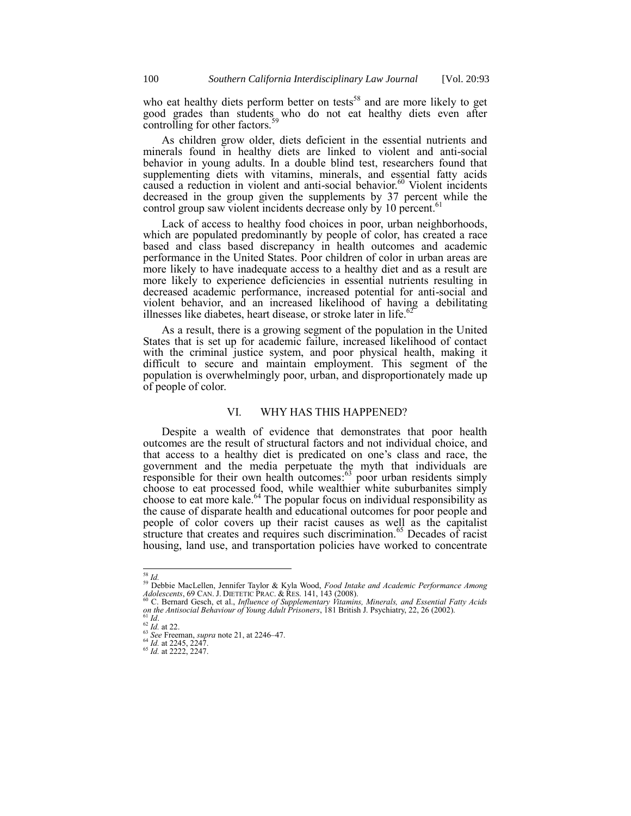<span id="page-7-0"></span>who eat healthy diets perform better on tests<sup>58</sup> and are more likely to get good grades than students who do not eat healthy diets even after controlling for other factors. $59$ 

As children grow older, diets deficient in the essential nutrients and minerals found in healthy diets are linked to violent and anti-social behavior in young adults. In a double blind test, researchers found that supplementing diets with vitamins, minerals, and essential fatty acids caused a reduction in violent and anti-social behavior.<sup>60</sup> Violent incidents decreased in the group given the supplements by 37 percent while the control group saw violent incidents decrease only by 10 percent.<sup>61</sup>

Lack of access to healthy food choices in poor, urban neighborhoods, which are populated predominantly by people of color, has created a race based and class based discrepancy in health outcomes and academic performance in the United States. Poor children of color in urban areas are more likely to have inadequate access to a healthy diet and as a result are more likely to experience deficiencies in essential nutrients resulting in decreased academic performance, increased potential for anti-social and violent behavior, and an increased likelihood of having a debilitating illnesses like diabetes, heart disease, or stroke later in life. $62$ 

As a result, there is a growing segment of the population in the United States that is set up for academic failure, increased likelihood of contact with the criminal justice system, and poor physical health, making it difficult to secure and maintain employment. This segment of the population is overwhelmingly poor, urban, and disproportionately made up of people of color.

#### VI. WHY HAS THIS HAPPENED?

Despite a wealth of evidence that demonstrates that poor health outcomes are the result of structural factors and not individual choice, and that access to a healthy diet is predicated on one's class and race, the government and the media perpetuate the myth that individuals are responsible for their own health outcomes:<sup>63</sup> poor urban residents simply choose to eat processed food, while wealthier white suburbanites simply choose to eat more kale.<sup>64</sup> The popular focus on individual responsibility as the cause of disparate health and educational outcomes for poor people and people of color covers up their racist causes as well as the capitalist structure that creates and requires such discrimination.<sup>65</sup> Decades of racist housing, land use, and transportation policies have worked to concentrate

l <sup>58</sup> *Id.*

<sup>59</sup> Debbie MacLellen, Jennifer Taylor & Kyla Wood, *Food Intake and Academic Performance Among Adolescents*, 69 CAN. J. DIETETIC PRAC. & RES. 141, 143 (2008).

<sup>&</sup>lt;sup>60</sup> C. Bernard Gesch, et al., *Influence of Supplementary Vitamins, Minerals, and Essential Fatty Acids*<br>*on the Antisocial Behaviour of Young Adult Prisoners*, 181 British J. Psychiatry, 22, 26 (2002).<br><sup>61</sup> Id.

<sup>62</sup> *Id.* at 22.

<sup>63</sup> *See* Freeman, *supra* not[e 21,](#page-3-1) at 2246–47.

<sup>64</sup> *Id.* at 2245, 2247.

<sup>65</sup> *Id.* at 2222, 2247.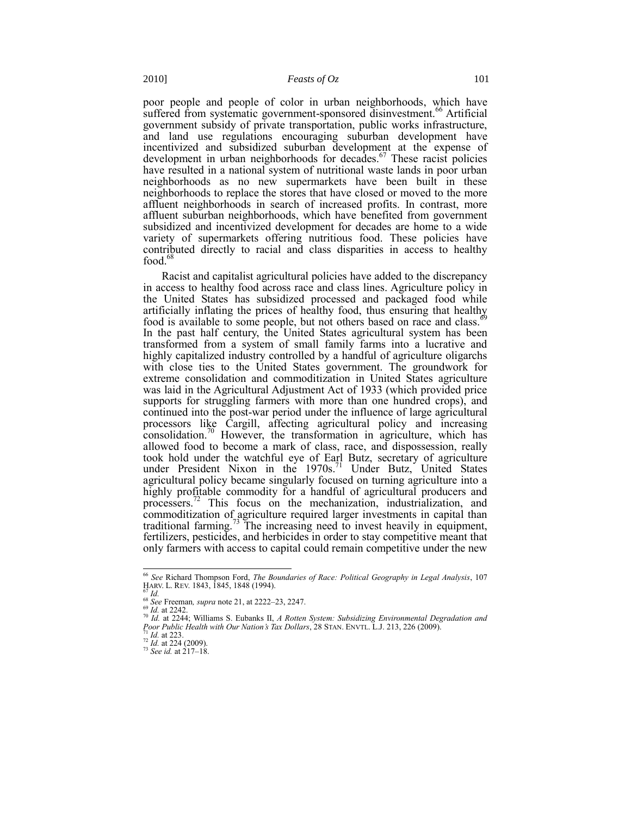<span id="page-8-0"></span>poor people and people of color in urban neighborhoods, which have suffered from systematic government-sponsored disinvestment.<sup>66</sup> Artificial government subsidy of private transportation, public works infrastructure, and land use regulations encouraging suburban development have incentivized and subsidized suburban development at the expense of development in urban neighborhoods for decades.<sup>67</sup> These racist policies have resulted in a national system of nutritional waste lands in poor urban neighborhoods as no new supermarkets have been built in these neighborhoods to replace the stores that have closed or moved to the more affluent neighborhoods in search of increased profits. In contrast, more affluent suburban neighborhoods, which have benefited from government subsidized and incentivized development for decades are home to a wide variety of supermarkets offering nutritious food. These policies have contributed directly to racial and class disparities in access to healthy food. $68$ 

Racist and capitalist agricultural policies have added to the discrepancy in access to healthy food across race and class lines. Agriculture policy in the United States has subsidized processed and packaged food while artificially inflating the prices of healthy food, thus ensuring that healthy food is available to some people, but not others based on race and class.<sup>6</sup> In the past half century, the United States agricultural system has been transformed from a system of small family farms into a lucrative and highly capitalized industry controlled by a handful of agriculture oligarchs with close ties to the United States government. The groundwork for extreme consolidation and commoditization in United States agriculture was laid in the Agricultural Adjustment Act of 1933 (which provided price supports for struggling farmers with more than one hundred crops), and continued into the post-war period under the influence of large agricultural processors like Cargill, affecting agricultural policy and increasing consolidation.<sup>70</sup> However, the transformation in agriculture, which has allowed food to become a mark of class, race, and dispossession, really took hold under the watchful eye of Earl Butz, secretary of agriculture under President Nixon in the 1970s. <sup>71</sup> Under Butz, United States agricultural policy became singularly focused on turning agriculture into a highly profitable commodity for a handful of agricultural producers and processers.<sup>72</sup> This focus on the mechanization, industrialization, and commoditization of agriculture required larger investments in capital than traditional farming.<sup>73</sup> The increasing need to invest heavily in equipment, fertilizers, pesticides, and herbicides in order to stay competitive meant that only farmers with access to capital could remain competitive under the new

<span id="page-8-1"></span><sup>66</sup> *See* Richard Thompson Ford, *The Boundaries of Race: Political Geography in Legal Analysis*, 107 HARV. L. REV. 1843, 1845, 1848 (1994).

 $\int_{0}^{67}$  *Id.* 

<sup>68</sup> *See* Freeman*, supra* not[e 21,](#page-3-1) at 2222–23, 2247.

<sup>69</sup> *Id.* at 2242.

<sup>70</sup> *Id.* at 2244; Williams S. Eubanks II, *A Rotten System: Subsidizing Environmental Degradation and Poor Public Health with Our Nation's Tax Dollars*, 28 STAN. ENVTL. L.J. 213, 226 (2009). *Id.* at 223.

<sup>72</sup> *Id.* at 224 (2009).

<sup>73</sup> *See id.* at 217–18.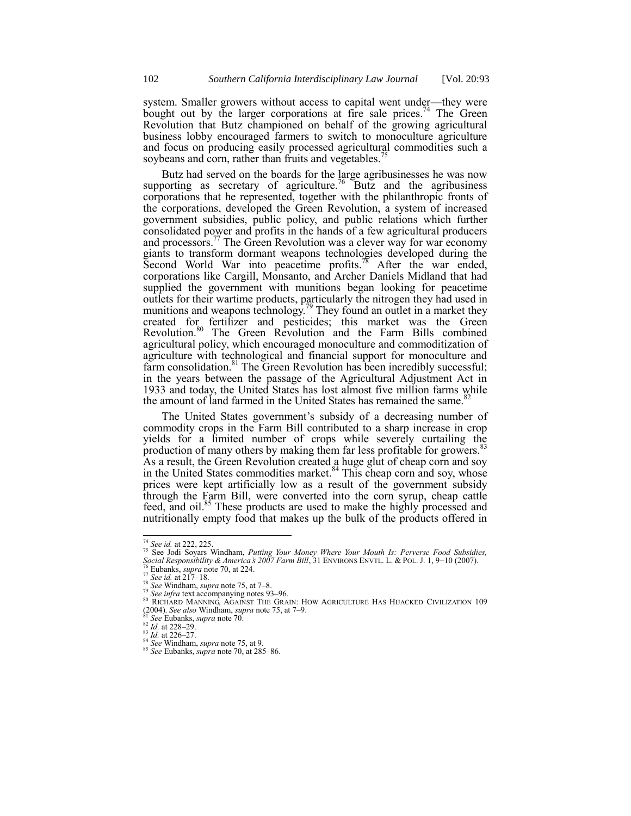system. Smaller growers without access to capital went under—they were bought out by the larger corporations at fire sale prices.<sup>74</sup> The Green Revolution that Butz championed on behalf of the growing agricultural business lobby encouraged farmers to switch to monoculture agriculture and focus on producing easily processed agricultural commodities such a soybeans and corn, rather than fruits and vegetables.<sup>75</sup>

<span id="page-9-0"></span>Butz had served on the boards for the large agribusinesses he was now supporting as secretary of agriculture.<sup>76</sup> Butz and the agribusiness corporations that he represented, together with the philanthropic fronts of the corporations, developed the Green Revolution, a system of increased government subsidies, public policy, and public relations which further consolidated power and profits in the hands of a few agricultural producers and processors.<sup>77</sup> The Green Revolution was a clever way for war economy giants to transform dormant weapons technologies developed during the Second World War into peacetime profits.<sup>78</sup> After the war ended, corporations like Cargill, Monsanto, and Archer Daniels Midland that had supplied the government with munitions began looking for peacetime outlets for their wartime products, particularly the nitrogen they had used in munitions and weapons technology.<sup>79</sup> They found an outlet in a market they created for fertilizer and pesticides; this market was the Green Revolution.<sup>80</sup> The Green Revolution and the Farm Bills combined agricultural policy, which encouraged monoculture and commoditization of agriculture with technological and financial support for monoculture and farm consolidation.<sup>81</sup> The Green Revolution has been incredibly successful; in the years between the passage of the Agricultural Adjustment Act in 1933 and today, the United States has lost almost five million farms while the amount of land farmed in the United States has remained the same.<sup>82</sup>

The United States government's subsidy of a decreasing number of commodity crops in the Farm Bill contributed to a sharp increase in crop yields for a limited number of crops while severely curtailing the production of many others by making them far less profitable for growers.<sup>83</sup> As a result, the Green Revolution created a huge glut of cheap corn and soy in the United States commodities market. $84$  This cheap corn and soy, whose prices were kept artificially low as a result of the government subsidy through the Farm Bill, were converted into the corn syrup, cheap cattle feed, and oil. <sup>85</sup> These products are used to make the highly processed and nutritionally empty food that makes up the bulk of the products offered in

<sup>74</sup> *See id.* at 222, 225.

<sup>75</sup> See Jodi Soyars Windham, *Putting Your Money Where Your Mouth Is: Perverse Food Subsidies, Social Responsibility & America's 2007 Farm Bill*, 31 ENVIRONS ENVTL. L. & POL. J. 1, 9−10 (2007).

<sup>76</sup> Eubanks, *supra* not[e 70,](#page-8-1) at 224.

<sup>77</sup> *See id.* at 217–18.

<sup>78</sup> *See* Windham, *supra* not[e 75,](#page-9-0) at 7–8.

<sup>79</sup> *See infra* text accompanying note[s 93](#page-10-0)–[96.](#page-11-0)

<sup>80</sup> RICHARD MANNING, AGAINST THE GRAIN: HOW AGRICULTURE HAS HIJACKED CIVILIZATION 109 (2004). *See also* Windham, *supra* note [75,](#page-9-0) at 7–9. <sup>81</sup> *See* Eubanks, *supra* not[e 70.](#page-8-1)

<sup>82</sup> *Id.* at 228–29. <sup>83</sup> *Id.* at 226–27.

<sup>84</sup> *See* Windham, *supra* not[e 75,](#page-9-0) at 9.

<sup>85</sup> *See* Eubanks, *supra* not[e 70,](#page-8-1) at 285–86.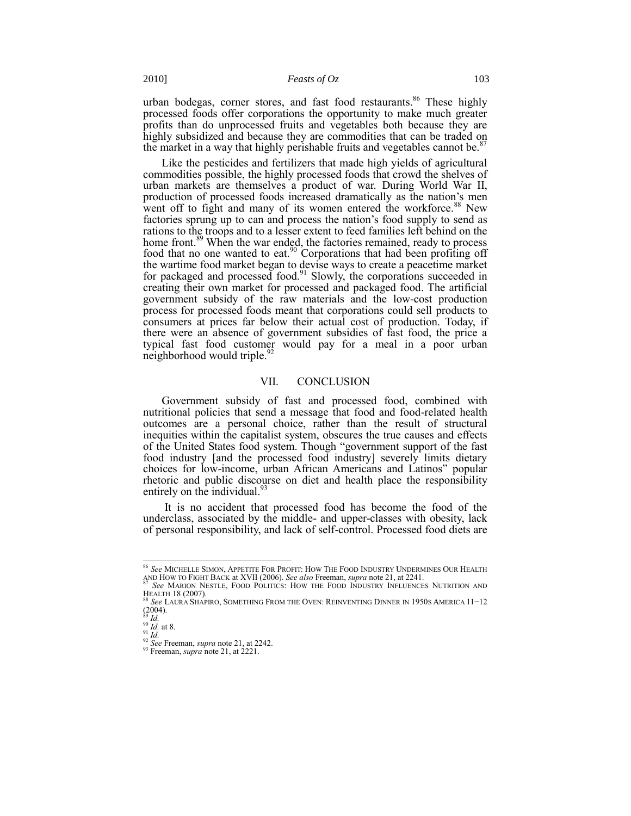urban bodegas, corner stores, and fast food restaurants.<sup>86</sup> These highly processed foods offer corporations the opportunity to make much greater profits than do unprocessed fruits and vegetables both because they are highly subsidized and because they are commodities that can be traded on the market in a way that highly perishable fruits and vegetables cannot be.<sup>8</sup>

Like the pesticides and fertilizers that made high yields of agricultural commodities possible, the highly processed foods that crowd the shelves of urban markets are themselves a product of war. During World War II, production of processed foods increased dramatically as the nation's men went off to fight and many of its women entered the workforce. $88$  New factories sprung up to can and process the nation's food supply to send as rations to the troops and to a lesser extent to feed families left behind on the home front.<sup>89</sup> When the war ended, the factories remained, ready to process food that no one wanted to eat.<sup>90</sup> Corporations that had been profiting off the wartime food market began to devise ways to create a peacetime market for packaged and processed food.<sup>91</sup> Slowly, the corporations succeeded in creating their own market for processed and packaged food. The artificial government subsidy of the raw materials and the low-cost production process for processed foods meant that corporations could sell products to consumers at prices far below their actual cost of production. Today, if there were an absence of government subsidies of fast food, the price a typical fast food customer would pay for a meal in a poor urban neighborhood would triple.<sup>92</sup>

#### <span id="page-10-0"></span>VII. CONCLUSION

Government subsidy of fast and processed food, combined with nutritional policies that send a message that food and food-related health outcomes are a personal choice, rather than the result of structural inequities within the capitalist system, obscures the true causes and effects of the United States food system. Though "government support of the fast" food industry [and the processed food industry] severely limits dietary choices for low-income, urban African Americans and Latinos" popular rhetoric and public discourse on diet and health place the responsibility entirely on the individual.<sup>9</sup>

It is no accident that processed food has become the food of the underclass, associated by the middle- and upper-classes with obesity, lack of personal responsibility, and lack of self-control. Processed food diets are

<sup>86</sup> *See* MICHELLE SIMON, APPETITE FOR PROFIT: HOW THE FOOD INDUSTRY UNDERMINES OUR HEALTH AND HOW TO FIGHT BACK at XVII (2006). *See also* Freeman, *supra* not[e 21,](#page-3-1) at 2241. <sup>87</sup> *See* MARION NESTLE, FOOD POLITICS: HOW THE FOOD INDUSTRY INFLUENCES NUTRITION AND

HEALTH 18 (2007). <sup>88</sup> *See* LAURA SHAPIRO, SOMETHING FROM THE OVEN: REINVENTING DINNER IN 1950S AMERICA 11−12

<sup>(2004).</sup> <sup>89</sup> *Id.*

<sup>90</sup> *Id.* at 8.

<sup>91</sup> *Id.*

<sup>92</sup> *See* Freeman, *supra* not[e 21,](#page-3-1) at 2242.

<sup>&</sup>lt;sup>93</sup> Freeman, *supra* not[e 21,](#page-3-1) at 2221.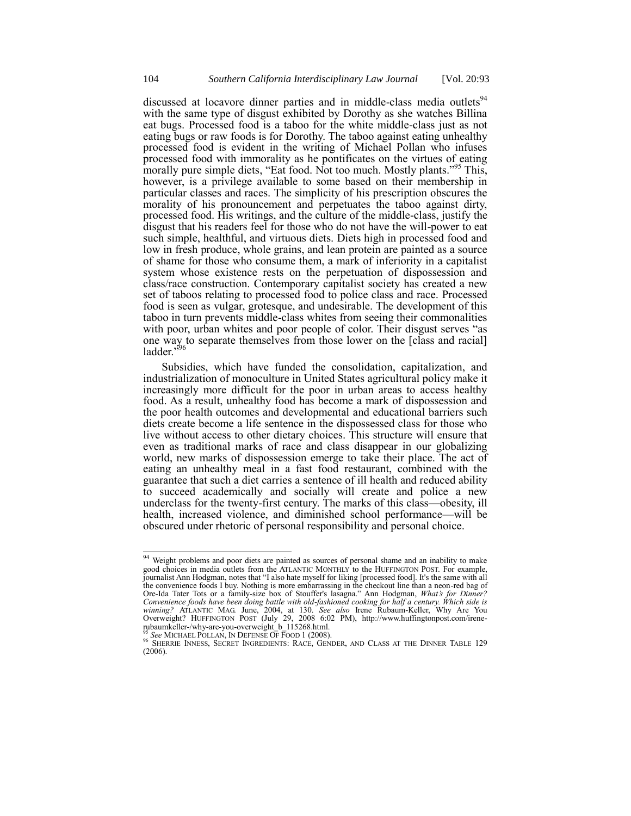discussed at locavore dinner parties and in middle-class media outlets<sup>94</sup> with the same type of disgust exhibited by Dorothy as she watches Billina eat bugs. Processed food is a taboo for the white middle-class just as not eating bugs or raw foods is for Dorothy. The taboo against eating unhealthy processed food is evident in the writing of Michael Pollan who infuses processed food with immorality as he pontificates on the virtues of eating morally pure simple diets, "Eat food. Not too much. Mostly plants."<sup>95</sup> This, however, is a privilege available to some based on their membership in particular classes and races. The simplicity of his prescription obscures the morality of his pronouncement and perpetuates the taboo against dirty, processed food. His writings, and the culture of the middle-class, justify the disgust that his readers feel for those who do not have the will-power to eat such simple, healthful, and virtuous diets. Diets high in processed food and low in fresh produce, whole grains, and lean protein are painted as a source of shame for those who consume them, a mark of inferiority in a capitalist system whose existence rests on the perpetuation of dispossession and class/race construction. Contemporary capitalist society has created a new set of taboos relating to processed food to police class and race. Processed food is seen as vulgar, grotesque, and undesirable. The development of this taboo in turn prevents middle-class whites from seeing their commonalities with poor, urban whites and poor people of color. Their disgust serves "as one way to separate themselves from those lower on the [class and racial] ladder."<sup>596</sup>

<span id="page-11-0"></span>Subsidies, which have funded the consolidation, capitalization, and industrialization of monoculture in United States agricultural policy make it increasingly more difficult for the poor in urban areas to access healthy food. As a result, unhealthy food has become a mark of dispossession and the poor health outcomes and developmental and educational barriers such diets create become a life sentence in the dispossessed class for those who live without access to other dietary choices. This structure will ensure that even as traditional marks of race and class disappear in our globalizing world, new marks of dispossession emerge to take their place. The act of eating an unhealthy meal in a fast food restaurant, combined with the guarantee that such a diet carries a sentence of ill health and reduced ability to succeed academically and socially will create and police a new underclass for the twenty-first century. The marks of this class—obesity, ill health, increased violence, and diminished school performance—will be obscured under rhetoric of personal responsibility and personal choice.

 $\overline{a}$ 

<sup>&</sup>lt;sup>94</sup> Weight problems and poor diets are painted as sources of personal shame and an inability to make good choices in media outlets from the ATLANTIC MONTHLY to the HUFFINGTON POST. For example, journalist Ann Hodgman, notes that "I also hate myself for liking [processed food]. It's the same with all the convenience foods I buy. Nothing is more embarrassing in the checkout line than a neon-red bag of Ore-Ida Tater Tots or a family-size box of Stouffer's lasagna.‖ Ann Hodgman, *What's for Dinner? Convenience foods have been doing battle with old-fashioned cooking for half a century. Which side is winning?* ATLANTIC MAG. June, 2004, at 130. *See also* Irene Rubaum-Keller, Why Are You Overweight? HUFFINGTON POST (July 29, 2008 6:02 PM), http://www.huffingtonpost.com/irenerubaumkeller-/why-are-you-overweight\_b\_115268.html. <sup>95</sup> *See* MICHAEL POLLAN, IN DEFENSE OF FOOD 1 (2008).

<sup>96</sup> SHERRIE INNESS, SECRET INGREDIENTS: RACE, GENDER, AND CLASS AT THE DINNER TABLE 129 (2006).